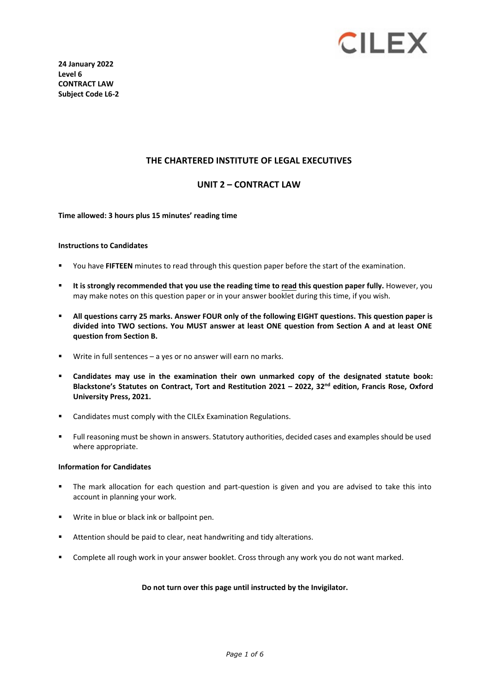

**24 January 2022 Level 6 CONTRACT LAW Subject Code L6-2** 

### **THE CHARTERED INSTITUTE OF LEGAL EXECUTIVES**

### **UNIT 2 – CONTRACT LAW**

**Time allowed: 3 hours plus 15 minutes' reading time**

#### **Instructions to Candidates**

- You have **FIFTEEN** minutes to read through this question paper before the start of the examination.
- **It is strongly recommended that you use the reading time to read this question paper fully.** However, you may make notes on this question paper or in your answer booklet during this time, if you wish.
- **All questions carry 25 marks. Answer FOUR only of the following EIGHT questions. This question paper is divided into TWO sections. You MUST answer at least ONE question from Section A and at least ONE question from Section B.**
- Write in full sentences a yes or no answer will earn no marks.
- **Candidates may use in the examination their own unmarked copy of the designated statute book: Blackstone's Statutes on Contract, Tort and Restitution 2021 – 2022, 32 nd edition, Francis Rose, Oxford University Press, 2021.**
- **EXEC** Candidates must comply with the CILEx Examination Regulations.
- Full reasoning must be shown in answers. Statutory authorities, decided cases and examples should be used where appropriate.

#### **Information for Candidates**

- The mark allocation for each question and part-question is given and you are advised to take this into account in planning your work.
- Write in blue or black ink or ballpoint pen.
- Attention should be paid to clear, neat handwriting and tidy alterations.
- **Complete all rough work in your answer booklet. Cross through any work you do not want marked.**

#### **Do not turn over this page until instructed by the Invigilator.**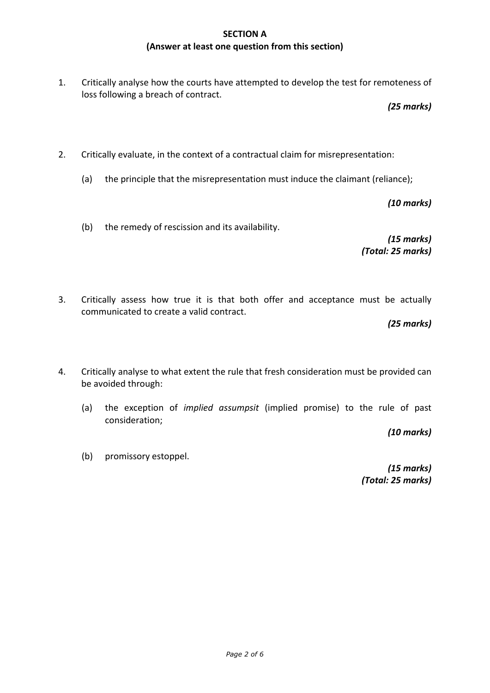## **SECTION A (Answer at least one question from this section)**

1. Critically analyse how the courts have attempted to develop the test for remoteness of loss following a breach of contract.

*(25 marks)*

- 2. Critically evaluate, in the context of a contractual claim for misrepresentation:
	- (a) the principle that the misrepresentation must induce the claimant (reliance);

*(10 marks)*

(b) the remedy of rescission and its availability.

*(15 marks) (Total: 25 marks)*

3. Critically assess how true it is that both offer and acceptance must be actually communicated to create a valid contract.

*(25 marks)*

- 4. Critically analyse to what extent the rule that fresh consideration must be provided can be avoided through:
	- (a) the exception of *implied assumpsit* (implied promise) to the rule of past consideration;

*(10 marks)*

(b) promissory estoppel.

*(15 marks) (Total: 25 marks)*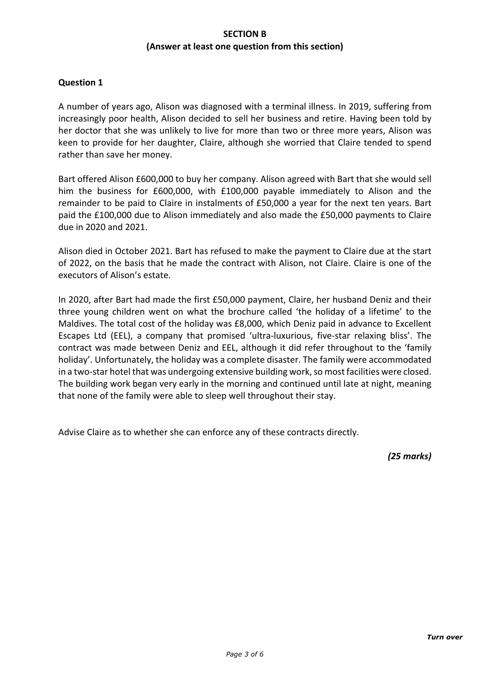## **SECTION B (Answer at least one question from this section)**

### **Question 1**

A number of years ago, Alison was diagnosed with a terminal illness. In 2019, suffering from increasingly poor health, Alison decided to sell her business and retire. Having been told by her doctor that she was unlikely to live for more than two or three more years, Alison was keen to provide for her daughter, Claire, although she worried that Claire tended to spend rather than save her money.

Bart offered Alison £600,000 to buy her company. Alison agreed with Bart that she would sell him the business for £600,000, with £100,000 payable immediately to Alison and the remainder to be paid to Claire in instalments of £50,000 a year for the next ten years. Bart paid the £100,000 due to Alison immediately and also made the £50,000 payments to Claire due in 2020 and 2021.

Alison died in October 2021. Bart has refused to make the payment to Claire due at the start of 2022, on the basis that he made the contract with Alison, not Claire. Claire is one of the executors of Alison's estate.

In 2020, after Bart had made the first £50,000 payment, Claire, her husband Deniz and their three young children went on what the brochure called 'the holiday of a lifetime' to the Maldives. The total cost of the holiday was £8,000, which Deniz paid in advance to Excellent Escapes Ltd (EEL), a company that promised 'ultra-luxurious, five-star relaxing bliss'. The contract was made between Deniz and EEL, although it did refer throughout to the 'family holiday'. Unfortunately, the holiday was a complete disaster. The family were accommodated in a two-star hotel that was undergoing extensive building work, so most facilities were closed. The building work began very early in the morning and continued until late at night, meaning that none of the family were able to sleep well throughout their stay.

Advise Claire as to whether she can enforce any of these contracts directly.

*(25 marks)*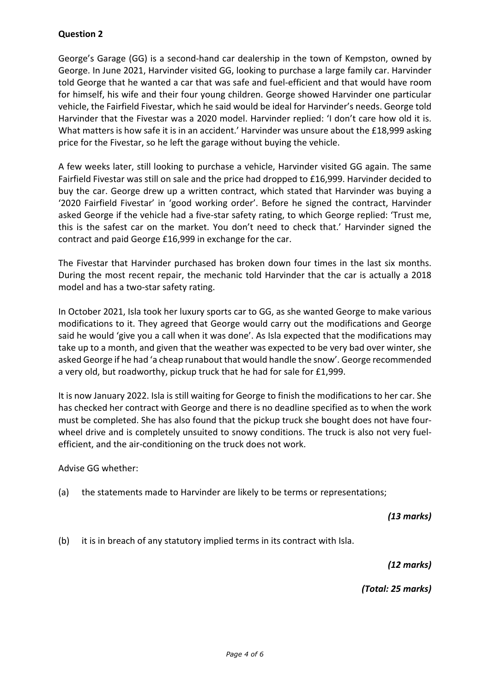# **Question 2**

George's Garage (GG) is a second-hand car dealership in the town of Kempston, owned by George. In June 2021, Harvinder visited GG, looking to purchase a large family car. Harvinder told George that he wanted a car that was safe and fuel-efficient and that would have room for himself, his wife and their four young children. George showed Harvinder one particular vehicle, the Fairfield Fivestar, which he said would be ideal for Harvinder's needs. George told Harvinder that the Fivestar was a 2020 model. Harvinder replied: 'I don't care how old it is. What matters is how safe it is in an accident.' Harvinder was unsure about the £18,999 asking price for the Fivestar, so he left the garage without buying the vehicle.

A few weeks later, still looking to purchase a vehicle, Harvinder visited GG again. The same Fairfield Fivestar was still on sale and the price had dropped to £16,999. Harvinder decided to buy the car. George drew up a written contract, which stated that Harvinder was buying a '2020 Fairfield Fivestar' in 'good working order'. Before he signed the contract, Harvinder asked George if the vehicle had a five-star safety rating, to which George replied: 'Trust me, this is the safest car on the market. You don't need to check that.' Harvinder signed the contract and paid George £16,999 in exchange for the car.

The Fivestar that Harvinder purchased has broken down four times in the last six months. During the most recent repair, the mechanic told Harvinder that the car is actually a 2018 model and has a two-star safety rating.

In October 2021, Isla took her luxury sports car to GG, as she wanted George to make various modifications to it. They agreed that George would carry out the modifications and George said he would 'give you a call when it was done'. As Isla expected that the modifications may take up to a month, and given that the weather was expected to be very bad over winter, she asked George if he had 'a cheap runabout that would handle the snow'. George recommended a very old, but roadworthy, pickup truck that he had for sale for £1,999.

It is now January 2022. Isla is still waiting for George to finish the modifications to her car. She has checked her contract with George and there is no deadline specified as to when the work must be completed. She has also found that the pickup truck she bought does not have fourwheel drive and is completely unsuited to snowy conditions. The truck is also not very fuelefficient, and the air-conditioning on the truck does not work.

Advise GG whether:

(a) the statements made to Harvinder are likely to be terms or representations;

*(13 marks)*

(b) it is in breach of any statutory implied terms in its contract with Isla.

*(12 marks)*

*(Total: 25 marks)*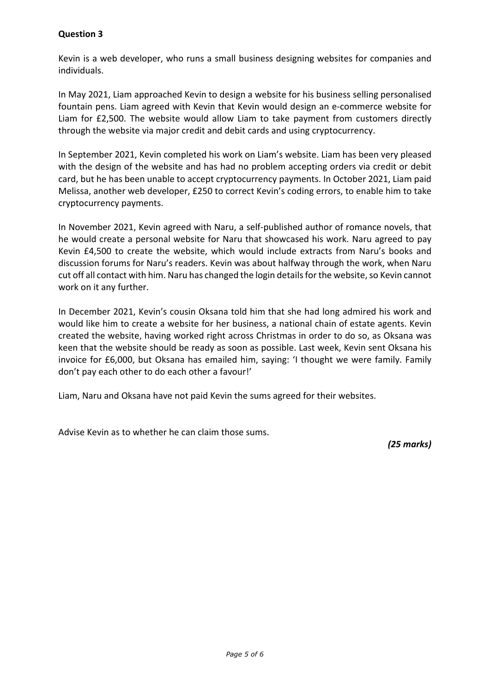# **Question 3**

Kevin is a web developer, who runs a small business designing websites for companies and individuals.

In May 2021, Liam approached Kevin to design a website for his business selling personalised fountain pens. Liam agreed with Kevin that Kevin would design an e-commerce website for Liam for £2,500. The website would allow Liam to take payment from customers directly through the website via major credit and debit cards and using cryptocurrency.

In September 2021, Kevin completed his work on Liam's website. Liam has been very pleased with the design of the website and has had no problem accepting orders via credit or debit card, but he has been unable to accept cryptocurrency payments. In October 2021, Liam paid Melissa, another web developer, £250 to correct Kevin's coding errors, to enable him to take cryptocurrency payments.

In November 2021, Kevin agreed with Naru, a self-published author of romance novels, that he would create a personal website for Naru that showcased his work. Naru agreed to pay Kevin £4,500 to create the website, which would include extracts from Naru's books and discussion forums for Naru's readers. Kevin was about halfway through the work, when Naru cut off all contact with him. Naru has changed the login details for the website, so Kevin cannot work on it any further.

In December 2021, Kevin's cousin Oksana told him that she had long admired his work and would like him to create a website for her business, a national chain of estate agents. Kevin created the website, having worked right across Christmas in order to do so, as Oksana was keen that the website should be ready as soon as possible. Last week, Kevin sent Oksana his invoice for £6,000, but Oksana has emailed him, saying: 'I thought we were family. Family don't pay each other to do each other a favour!'

Liam, Naru and Oksana have not paid Kevin the sums agreed for their websites.

Advise Kevin as to whether he can claim those sums.

*(25 marks)*